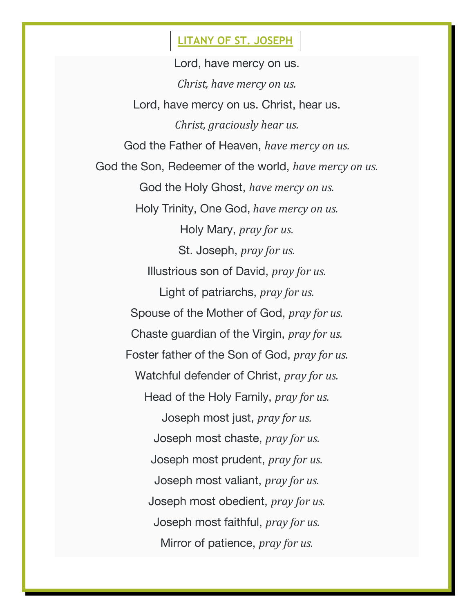## **LITANY OF ST. JOSEPH**

Lord, have mercy on us. *Christ, have mercy on us.* Lord, have mercy on us. Christ, hear us. *Christ, graciously hear us.* God the Father of Heaven, *have mercy on us.* God the Son, Redeemer of the world, *have mercy on us.* God the Holy Ghost, *have mercy on us.* Holy Trinity, One God, *have mercy on us.* Holy Mary, *pray for us.* St. Joseph, *pray for us.* Illustrious son of David, *pray for us.* Light of patriarchs, *pray for us.* Spouse of the Mother of God, *pray for us.* Chaste guardian of the Virgin, *pray for us.* Foster father of the Son of God, *pray for us.* Watchful defender of Christ, *pray for us.* Head of the Holy Family, *pray for us.* Joseph most just, *pray for us.* Joseph most chaste, *pray for us.* Joseph most prudent, *pray for us.* Joseph most valiant, *pray for us.* Joseph most obedient, *pray for us.* Joseph most faithful, *pray for us.* Mirror of patience, *pray for us.*